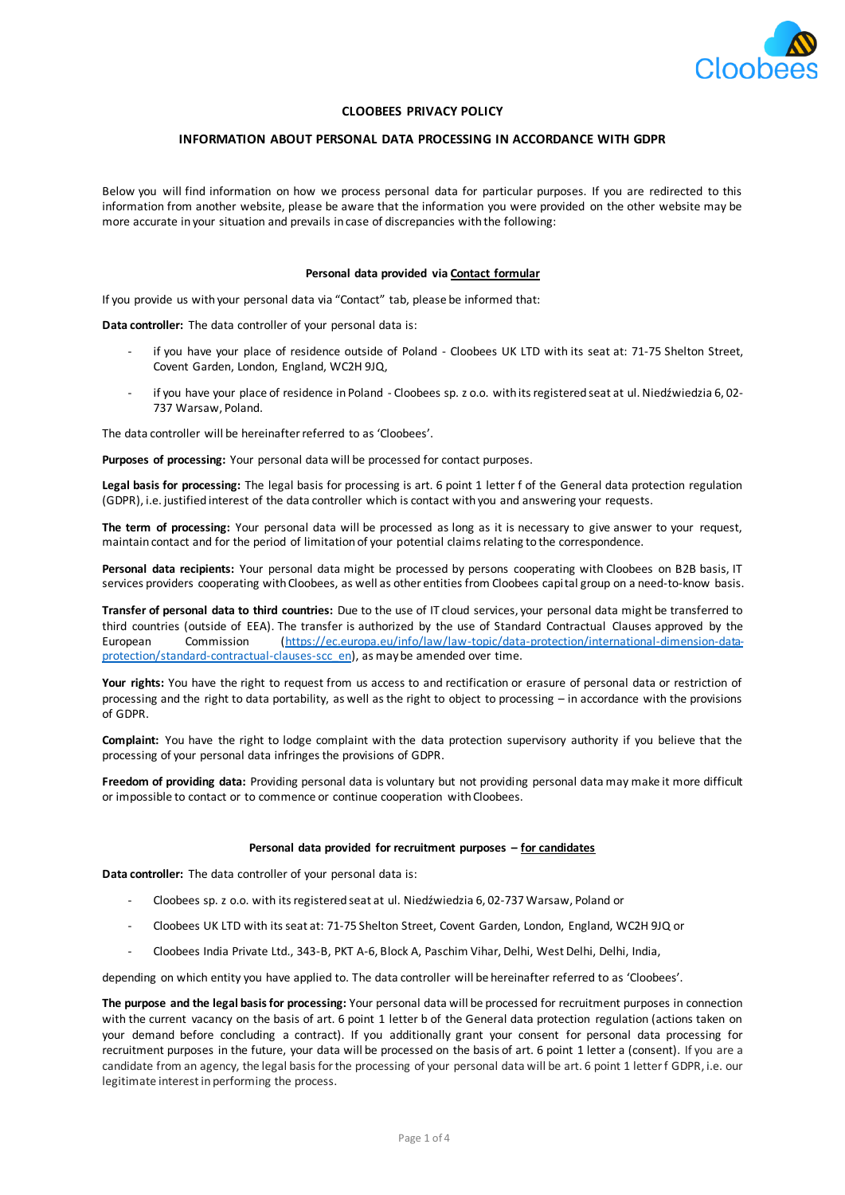

### **CLOOBEES PRIVACY POLICY**

### **INFORMATION ABOUT PERSONAL DATA PROCESSING IN ACCORDANCE WITH GDPR**

Below you will find information on how we process personal data for particular purposes. If you are redirected to this information from another website, please be aware that the information you were provided on the other website may be more accurate in your situation and prevails in case of discrepancies with the following:

#### **Personal data provided via Contact formular**

If you provide us with your personal data via "Contact" tab, please be informed that:

**Data controller:** The data controller of your personal data is:

- if you have your place of residence outside of Poland Cloobees UK LTD with its seat at: 71-75 Shelton Street. Covent Garden, London, England, WC2H 9JQ,
- if you have your place of residence in Poland Cloobees sp. z o.o. with its registered seat at ul. Niedźwiedzia 6, 02- 737 Warsaw, Poland.

The data controller will be hereinafter referred to as 'Cloobees'.

**Purposes of processing:** Your personal data will be processed for contact purposes.

**Legal basis for processing:** The legal basis for processing is art. 6 point 1 letter f of the General data protection regulation (GDPR), i.e. justified interest of the data controller which is contact with you and answering your requests.

**The term of processing:** Your personal data will be processed as long as it is necessary to give answer to your request, maintain contact and for the period of limitation of your potential claims relating to the correspondence.

**Personal data recipients:** Your personal data might be processed by persons cooperating with Cloobees on B2B basis, IT services providers cooperating with Cloobees, as well as other entities from Cloobees capital group on a need-to-know basis.

**Transfer of personal data to third countries:** Due to the use of IT cloud services, your personal data might be transferred to third countries (outside of EEA). The transfer is authorized by the use of Standard Contractual Clauses approved by the European Commission (https://ec.europa.eu/info/law/law-topic/data-protection/international-dimension-dataprotection/standard-contractual-clauses-scc\_en), as may be amended over time.

**Your rights:** You have the right to request from us access to and rectification or erasure of personal data or restriction of processing and the right to data portability, as well as the right to object to processing – in accordance with the provisions of GDPR.

**Complaint:** You have the right to lodge complaint with the data protection supervisory authority if you believe that the processing of your personal data infringes the provisions of GDPR.

**Freedom of providing data:** Providing personal data is voluntary but not providing personal data may make it more difficult or impossible to contact or to commence or continue cooperation with Cloobees.

### **Personal data provided for recruitment purposes – for candidates**

**Data controller:** The data controller of your personal data is:

- Cloobees sp. z o.o. with its registered seat at ul. Niedźwiedzia 6, 02-737 Warsaw, Poland or
- Cloobees UK LTD with its seat at: 71-75 Shelton Street, Covent Garden, London, England, WC2H 9JQ or
- Cloobees India Private Ltd., 343-B, PKT A-6, Block A, Paschim Vihar, Delhi, West Delhi, Delhi, India,

depending on which entity you have applied to. The data controller will be hereinafter referred to as 'Cloobees'.

**The purpose and the legal basis for processing:** Your personal data will be processed for recruitment purposes in connection with the current vacancy on the basis of art. 6 point 1 letter b of the General data protection regulation (actions taken on your demand before concluding a contract). If you additionally grant your consent for personal data processing for recruitment purposes in the future, your data will be processed on the basis of art. 6 point 1 letter a (consent). If you are a candidate from an agency, the legal basis for the processing of your personal data will be art. 6 point 1 letter f GDPR, i.e. our legitimate interest in performing the process.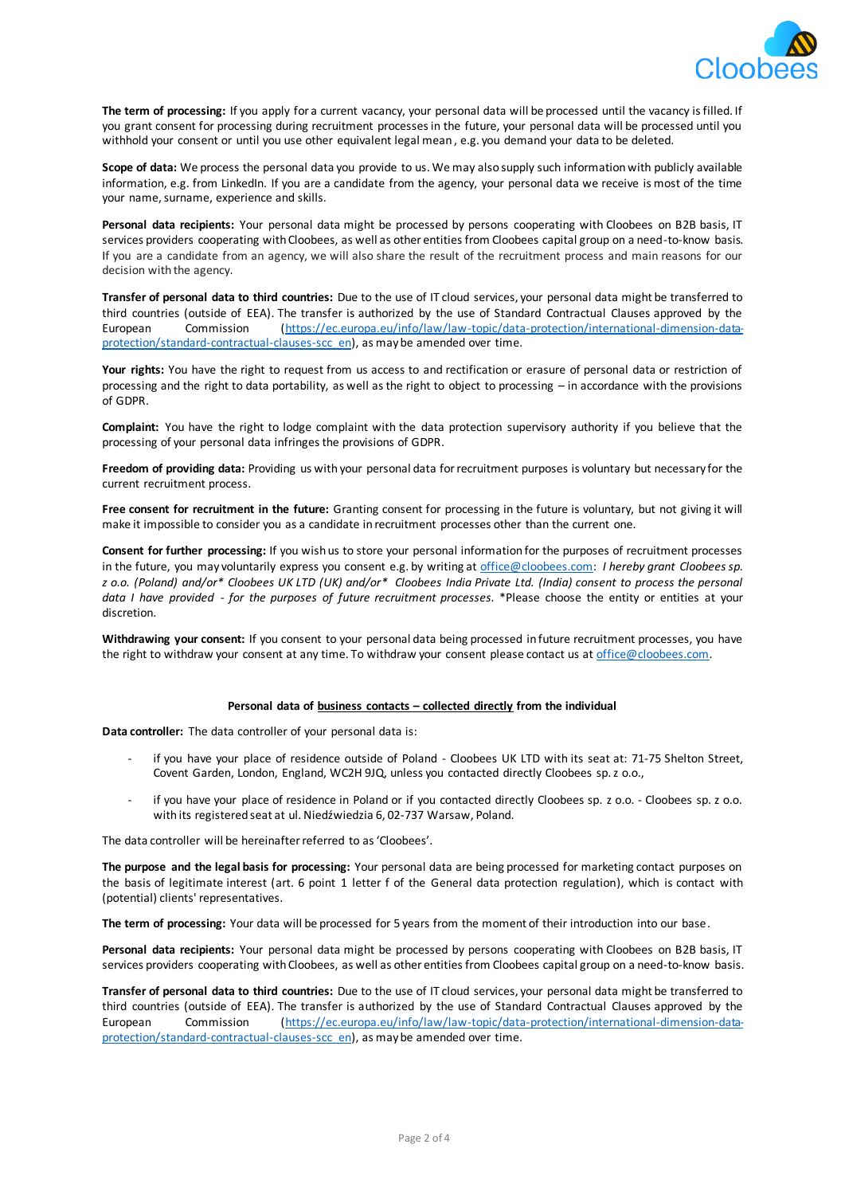

**The term of processing:** If you apply for a current vacancy, your personal data will be processed until the vacancy is filled. If you grant consent for processing during recruitment processes in the future, your personal data will be processed until you withhold your consent or until you use other equivalent legal mean , e.g. you demand your data to be deleted.

**Scope of data:** We process the personal data you provide to us. We may also supply such information with publicly available information, e.g. from LinkedIn. If you are a candidate from the agency, your personal data we receive is most of the time your name, surname, experience and skills.

Personal data recipients: Your personal data might be processed by persons cooperating with Cloobees on B2B basis, IT services providers cooperating with Cloobees, as well as other entities from Cloobees capital group on a need-to-know basis. If you are a candidate from an agency, we will also share the result of the recruitment process and main reasons for our decision with the agency.

**Transfer of personal data to third countries:** Due to the use of IT cloud services, your personal data might be transferred to third countries (outside of EEA). The transfer is authorized by the use of Standard Contractual Clauses approved by the European Commission (https://ec.europa.eu/info/law/law-topic/data-protection/international-dimension-dataprotection/standard-contractual-clauses-scc\_en), as may be amended over time.

**Your rights:** You have the right to request from us access to and rectification or erasure of personal data or restriction of processing and the right to data portability, as well as the right to object to processing – in accordance with the provisions of GDPR.

**Complaint:** You have the right to lodge complaint with the data protection supervisory authority if you believe that the processing of your personal data infringes the provisions of GDPR.

**Freedom of providing data:** Providing us with your personal data for recruitment purposes is voluntary but necessary for the current recruitment process.

**Free consent for recruitment in the future:** Granting consent for processing in the future is voluntary, but not giving it will make it impossible to consider you as a candidate in recruitment processes other than the current one.

**Consent for further processing:** If you wish us to store your personal information for the purposes of recruitment processes in the future, you may voluntarily express you consent e.g. by writing at office@cloobees.com: *I hereby grant Cloobees sp. z o.o. (Poland) and/or\* Cloobees UK LTD (UK) and/or\* Cloobees India Private Ltd. (India) consent to process the personal data I have provided - for the purposes of future recruitment processes.* \*Please choose the entity or entities at your discretion.

**Withdrawing your consent:** If you consent to your personal data being processed in future recruitment processes, you have the right to withdraw your consent at any time. To withdraw your consent please contact us at office@cloobees.com.

# **Personal data of business contacts – collected directly from the individual**

**Data controller:** The data controller of your personal data is:

- if you have your place of residence outside of Poland Cloobees UK LTD with its seat at: 71-75 Shelton Street, Covent Garden, London, England, WC2H 9JQ, unless you contacted directly Cloobees sp. z o.o.,
- if you have your place of residence in Poland or if you contacted directly Cloobees sp. z o.o. Cloobees sp. z o.o. with its registered seat at ul. Niedźwiedzia 6, 02-737 Warsaw, Poland.

The data controller will be hereinafter referred to as 'Cloobees'.

**The purpose and the legal basis for processing:** Your personal data are being processed for marketing contact purposes on the basis of legitimate interest (art. 6 point 1 letter f of the General data protection regulation), which is contact with (potential) clients' representatives.

**The term of processing:** Your data will be processed for 5 years from the moment of their introduction into our base.

**Personal data recipients:** Your personal data might be processed by persons cooperating with Cloobees on B2B basis, IT services providers cooperating with Cloobees, as well as other entities from Cloobees capital group on a need-to-know basis.

**Transfer of personal data to third countries:** Due to the use of IT cloud services, your personal data might be transferred to third countries (outside of EEA). The transfer is authorized by the use of Standard Contractual Clauses approved by the European Commission (https://ec.europa.eu/info/law/law-topic/data-protection/international-dimension-dataprotection/standard-contractual-clauses-scc\_en), as may be amended over time.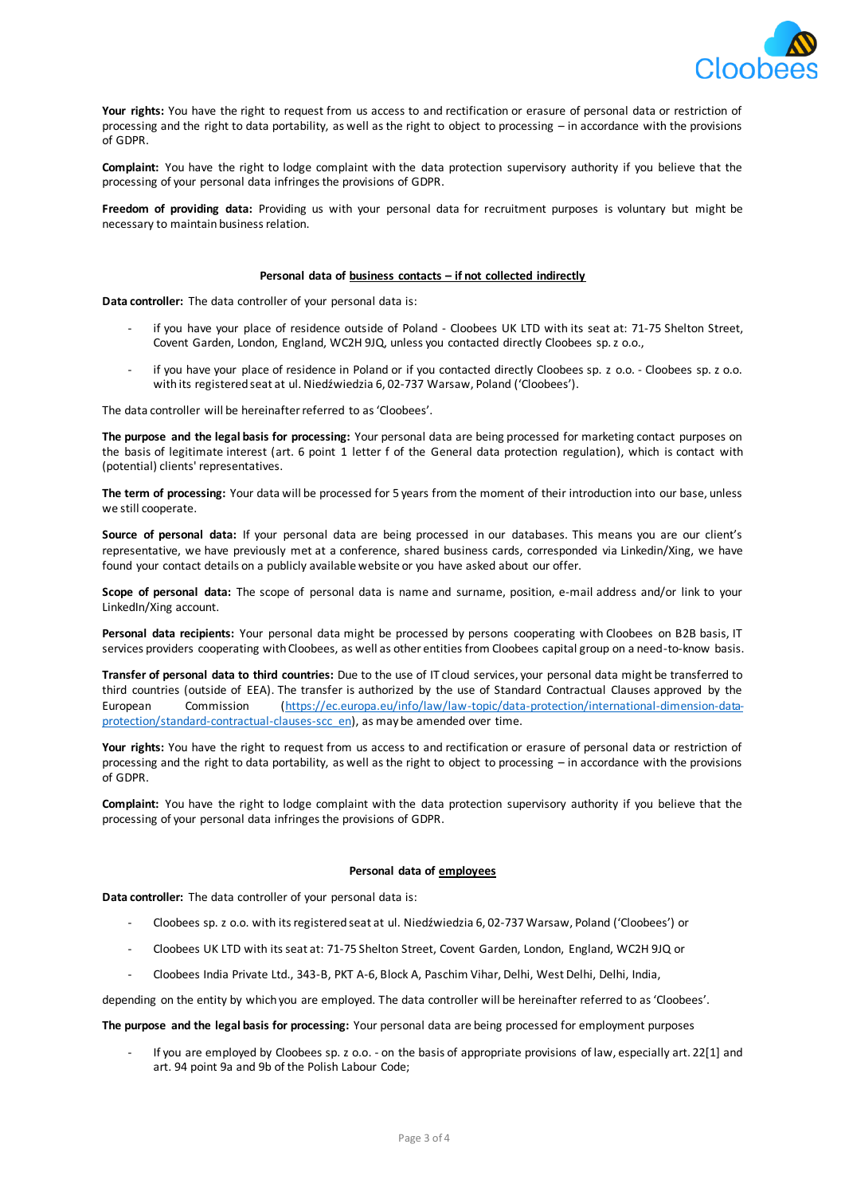

**Your rights:** You have the right to request from us access to and rectification or erasure of personal data or restriction of processing and the right to data portability, as well as the right to object to processing – in accordance with the provisions of GDPR.

**Complaint:** You have the right to lodge complaint with the data protection supervisory authority if you believe that the processing of your personal data infringes the provisions of GDPR.

**Freedom of providing data:** Providing us with your personal data for recruitment purposes is voluntary but might be necessary to maintain business relation.

### **Personal data of business contacts – if not collected indirectly**

**Data controller:** The data controller of your personal data is:

- if you have your place of residence outside of Poland Cloobees UK LTD with its seat at: 71-75 Shelton Street, Covent Garden, London, England, WC2H 9JQ, unless you contacted directly Cloobees sp. z o.o.,
- if you have your place of residence in Poland or if you contacted directly Cloobees sp. z o.o. Cloobees sp. z o.o. with its registered seat at ul. Niedźwiedzia 6, 02-737 Warsaw, Poland ('Cloobees').

The data controller will be hereinafter referred to as 'Cloobees'.

**The purpose and the legal basis for processing:** Your personal data are being processed for marketing contact purposes on the basis of legitimate interest (art. 6 point 1 letter f of the General data protection regulation), which is contact with (potential) clients' representatives.

**The term of processing:** Your data will be processed for 5 years from the moment of their introduction into our base, unless we still cooperate.

**Source of personal data:** If your personal data are being processed in our databases. This means you are our client's representative, we have previously met at a conference, shared business cards, corresponded via Linkedin/Xing, we have found your contact details on a publicly available website or you have asked about our offer.

**Scope of personal data:** The scope of personal data is name and surname, position, e-mail address and/or link to your LinkedIn/Xing account.

**Personal data recipients:** Your personal data might be processed by persons cooperating with Cloobees on B2B basis, IT services providers cooperating with Cloobees, as well as other entities from Cloobees capital group on a need-to-know basis.

**Transfer of personal data to third countries:** Due to the use of IT cloud services, your personal data might be transferred to third countries (outside of EEA). The transfer is authorized by the use of Standard Contractual Clauses approved by the European Commission (https://ec.europa.eu/info/law/law-topic/data-protection/international-dimension-dataprotection/standard-contractual-clauses-scc\_en), as may be amended over time.

**Your rights:** You have the right to request from us access to and rectification or erasure of personal data or restriction of processing and the right to data portability, as well as the right to object to processing – in accordance with the provisions of GDPR.

**Complaint:** You have the right to lodge complaint with the data protection supervisory authority if you believe that the processing of your personal data infringes the provisions of GDPR.

### **Personal data of employees**

**Data controller:** The data controller of your personal data is:

- Cloobees sp. z o.o. with its registered seat at ul. Niedźwiedzia 6, 02-737 Warsaw, Poland ('Cloobees') or
- Cloobees UK LTD with its seat at: 71-75 Shelton Street, Covent Garden, London, England, WC2H 9JQ or
- Cloobees India Private Ltd., 343-B, PKT A-6, Block A, Paschim Vihar, Delhi, West Delhi, Delhi, India,

depending on the entity by which you are employed. The data controller will be hereinafter referred to as 'Cloobees'.

**The purpose and the legal basis for processing:** Your personal data are being processed for employment purposes

If you are employed by Cloobees sp. z o.o. - on the basis of appropriate provisions of law, especially art. 22[1] and art. 94 point 9a and 9b of the Polish Labour Code;